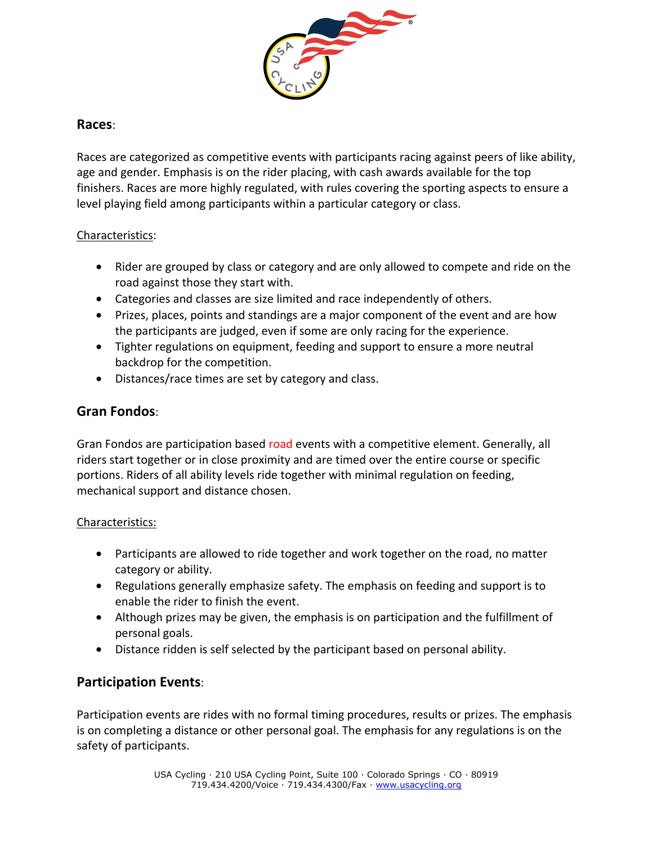

### **Races**:

Races are categorized as competitive events with participants racing against peers of like ability, age and gender. Emphasis is on the rider placing, with cash awards available for the top finishers. Races are more highly regulated, with rules covering the sporting aspects to ensure a level playing field among participants within a particular category or class.

#### Characteristics:

- Rider are grouped by class or category and are only allowed to compete and ride on the road against those they start with.
- Categories and classes are size limited and race independently of others.
- Prizes, places, points and standings are a major component of the event and are how the participants are judged, even if some are only racing for the experience.
- Tighter regulations on equipment, feeding and support to ensure a more neutral backdrop for the competition.
- Distances/race times are set by category and class.

# **Gran Fondos**:

Gran Fondos are participation based road events with a competitive element. Generally, all riders start together or in close proximity and are timed over the entire course or specific portions. Riders of all ability levels ride together with minimal regulation on feeding, mechanical support and distance chosen.

### Characteristics:

- Participants are allowed to ride together and work together on the road, no matter category or ability.
- Regulations generally emphasize safety. The emphasis on feeding and support is to enable the rider to finish the event.
- Although prizes may be given, the emphasis is on participation and the fulfillment of personal goals.
- Distance ridden is self selected by the participant based on personal ability.

## **Participation Events**:

Participation events are rides with no formal timing procedures, results or prizes. The emphasis is on completing a distance or other personal goal. The emphasis for any regulations is on the safety of participants.